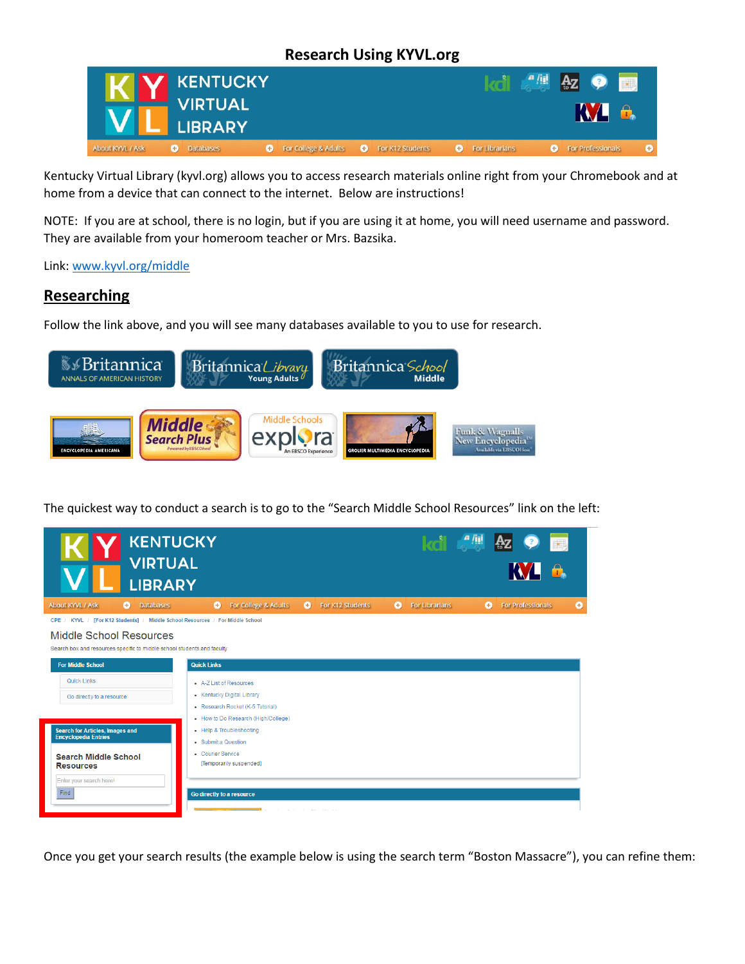## **Research Using KYVL.org**



Kentucky Virtual Library (kyvl.org) allows you to access research materials online right from your Chromebook and at home from a device that can connect to the internet. Below are instructions!

NOTE: If you are at school, there is no login, but if you are using it at home, you will need username and password. They are available from your homeroom teacher or Mrs. Bazsika.

Link: [www.kyvl.org/middle](http://www.kyvl.org/middle)

## **Researching**

Follow the link above, and you will see many databases available to you to use for research.



The quickest way to conduct a search is to go to the "Search Middle School Resources" link on the left:



Once you get your search results (the example below is using the search term "Boston Massacre"), you can refine them: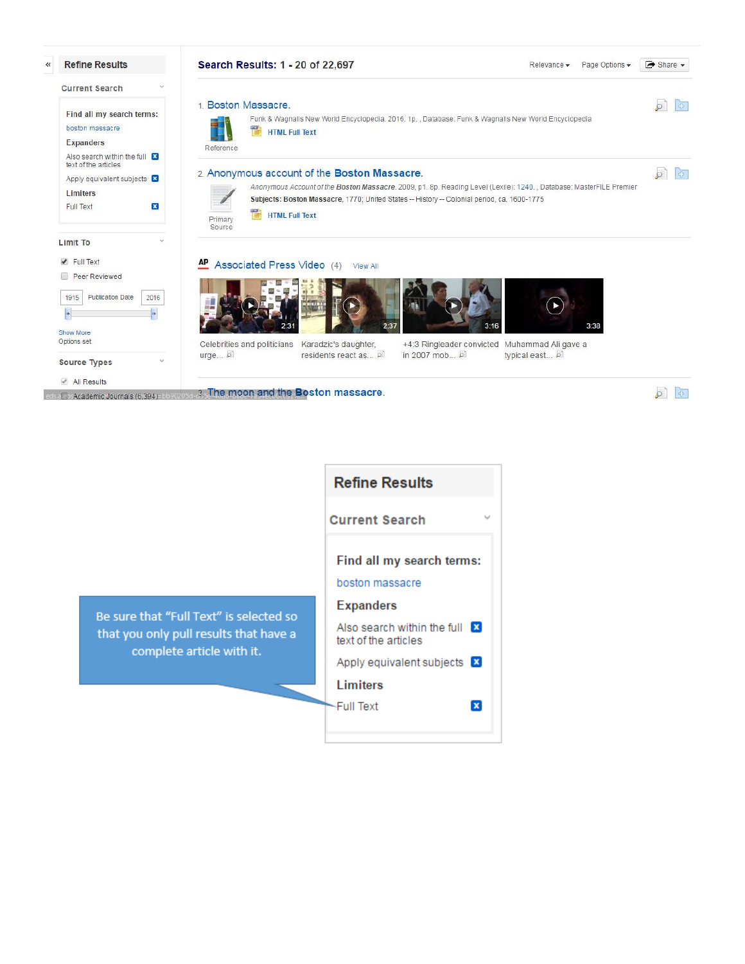

3. The moon and the Boston massacre. - Academic Journals (6,394)-bbs

 $\sqrt{2}$ 

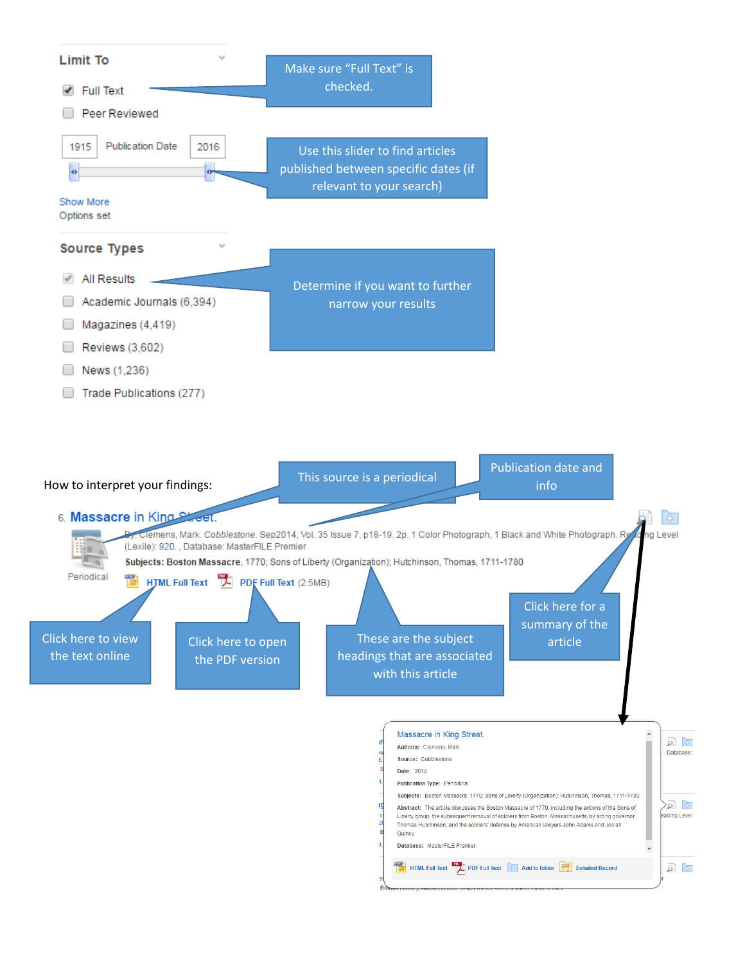

| Massacre in King Street.                                                                                                                                                                                                                                                                                   |              |
|------------------------------------------------------------------------------------------------------------------------------------------------------------------------------------------------------------------------------------------------------------------------------------------------------------|--------------|
| Authors: Clemens, Mark                                                                                                                                                                                                                                                                                     | . Database:  |
| Source: Cobblestone                                                                                                                                                                                                                                                                                        |              |
| Date: 2014                                                                                                                                                                                                                                                                                                 |              |
| <b>Publication Type: Periodical</b>                                                                                                                                                                                                                                                                        |              |
| Subjects: Boston Massacre, 1770; Sons of Liberty (Organization); Hutchinson, Thomas, 1711-1780                                                                                                                                                                                                             |              |
| Abstract: The article discusses the Boston Massacre of 1770, including the actions of the Sons of<br>Liberty group, the subsequent removal of soldiers from Boston, Massachusetts, by acting governor<br>Thomas Hutchinson, and the soldiers' defense by American lawyers John Adams and Josiah<br>Quincy. | eading Level |
| Database: MasterFILE Premier                                                                                                                                                                                                                                                                               |              |
| HTML Full Text   DDF Full Text   Add to folder<br><b>Detailed Record</b>                                                                                                                                                                                                                                   |              |